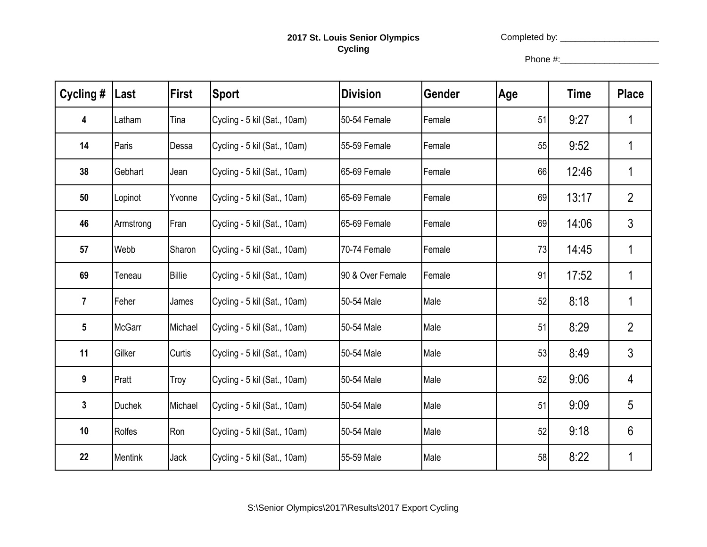## **2017 St. Louis Senior Olympics Cycling**

Completed by: \_\_\_\_\_\_\_\_\_\_\_\_\_\_\_\_\_\_\_\_

Phone #:\_\_\_\_\_\_\_\_\_\_\_\_\_\_\_\_\_\_\_\_

| Cycling #      | Last           | <b>First</b>  | <b>Sport</b>                 | <b>Division</b>  | Gender | Age | <b>Time</b> | <b>Place</b>   |
|----------------|----------------|---------------|------------------------------|------------------|--------|-----|-------------|----------------|
| 4              | Latham         | Tina          | Cycling - 5 kil (Sat., 10am) | 50-54 Female     | Female | 51  | 9:27        | 1              |
| 14             | Paris          | Dessa         | Cycling - 5 kil (Sat., 10am) | 55-59 Female     | Female | 55  | 9:52        | 1              |
| 38             | Gebhart        | Jean          | Cycling - 5 kil (Sat., 10am) | 65-69 Female     | Female | 66  | 12:46       | 1              |
| 50             | Lopinot        | Yvonne        | Cycling - 5 kil (Sat., 10am) | 65-69 Female     | Female | 69  | 13:17       | $\overline{2}$ |
| 46             | Armstrong      | Fran          | Cycling - 5 kil (Sat., 10am) | 65-69 Female     | Female | 69  | 14:06       | $\mathfrak{S}$ |
| 57             | Webb           | Sharon        | Cycling - 5 kil (Sat., 10am) | 70-74 Female     | Female | 73  | 14:45       | 1              |
| 69             | Teneau         | <b>Billie</b> | Cycling - 5 kil (Sat., 10am) | 90 & Over Female | Female | 91  | 17:52       | 1              |
| $\overline{7}$ | Feher          | James         | Cycling - 5 kil (Sat., 10am) | 50-54 Male       | Male   | 52  | 8:18        | 1              |
| 5              | <b>McGarr</b>  | Michael       | Cycling - 5 kil (Sat., 10am) | 50-54 Male       | Male   | 51  | 8:29        | $\overline{2}$ |
| 11             | Gilker         | <b>Curtis</b> | Cycling - 5 kil (Sat., 10am) | 50-54 Male       | Male   | 53  | 8:49        | $\mathfrak{S}$ |
| 9              | Pratt          | Troy          | Cycling - 5 kil (Sat., 10am) | 50-54 Male       | Male   | 52  | 9:06        | 4              |
| 3              | <b>Duchek</b>  | Michael       | Cycling - 5 kil (Sat., 10am) | 50-54 Male       | Male   | 51  | 9:09        | 5              |
| 10             | Rolfes         | Ron           | Cycling - 5 kil (Sat., 10am) | 50-54 Male       | Male   | 52  | 9:18        | 6              |
| 22             | <b>Mentink</b> | Jack          | Cycling - 5 kil (Sat., 10am) | 55-59 Male       | Male   | 58  | 8:22        | 1              |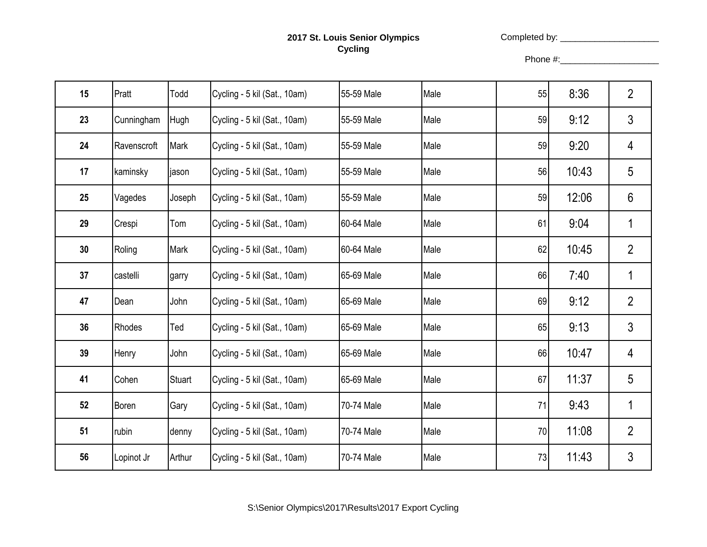## **2017 St. Louis Senior Olympics Cycling**

Completed by: \_\_\_\_\_\_\_\_\_\_\_\_\_\_\_\_\_\_\_\_

Phone #:\_\_\_\_\_\_\_\_\_\_\_\_\_\_\_\_\_\_\_\_

| 15 | Pratt       | Todd   | Cycling - 5 kil (Sat., 10am) | 55-59 Male | Male | 55 | 8:36  | $\overline{2}$ |
|----|-------------|--------|------------------------------|------------|------|----|-------|----------------|
| 23 | Cunningham  | Hugh   | Cycling - 5 kil (Sat., 10am) | 55-59 Male | Male | 59 | 9:12  | $\mathfrak{S}$ |
| 24 | Ravenscroft | Mark   | Cycling - 5 kil (Sat., 10am) | 55-59 Male | Male | 59 | 9:20  | 4              |
| 17 | kaminsky    | jason  | Cycling - 5 kil (Sat., 10am) | 55-59 Male | Male | 56 | 10:43 | 5              |
| 25 | Vagedes     | Joseph | Cycling - 5 kil (Sat., 10am) | 55-59 Male | Male | 59 | 12:06 | $6\phantom{1}$ |
| 29 | Crespi      | Tom    | Cycling - 5 kil (Sat., 10am) | 60-64 Male | Male | 61 | 9:04  | 1              |
| 30 | Roling      | Mark   | Cycling - 5 kil (Sat., 10am) | 60-64 Male | Male | 62 | 10:45 | $\overline{2}$ |
| 37 | castelli    | garry  | Cycling - 5 kil (Sat., 10am) | 65-69 Male | Male | 66 | 7:40  | 1              |
| 47 | Dean        | John   | Cycling - 5 kil (Sat., 10am) | 65-69 Male | Male | 69 | 9:12  | $\overline{2}$ |
| 36 | Rhodes      | Ted    | Cycling - 5 kil (Sat., 10am) | 65-69 Male | Male | 65 | 9:13  | 3              |
| 39 | Henry       | John   | Cycling - 5 kil (Sat., 10am) | 65-69 Male | Male | 66 | 10:47 | 4              |
| 41 | Cohen       | Stuart | Cycling - 5 kil (Sat., 10am) | 65-69 Male | Male | 67 | 11:37 | 5              |
| 52 | Boren       | Gary   | Cycling - 5 kil (Sat., 10am) | 70-74 Male | Male | 71 | 9:43  | 1              |
| 51 | rubin       | denny  | Cycling - 5 kil (Sat., 10am) | 70-74 Male | Male | 70 | 11:08 | $\overline{2}$ |
| 56 | Lopinot Jr  | Arthur | Cycling - 5 kil (Sat., 10am) | 70-74 Male | Male | 73 | 11:43 | $\mathfrak{Z}$ |